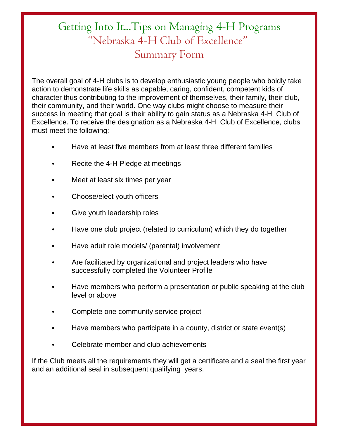## Getting Into It...Tips on Managing 4-H Programs "Nebraska 4-H Club of Excellence" Summary Form

The overall goal of 4-H clubs is to develop enthusiastic young people who boldly take action to demonstrate life skills as capable, caring, confident, competent kids of character thus contributing to the improvement of themselves, their family, their club, their community, and their world. One way clubs might choose to measure their success in meeting that goal is their ability to gain status as a Nebraska 4-H Club of Excellence. To receive the designation as a Nebraska 4-H Club of Excellence, clubs must meet the following:

- Have at least five members from at least three different families
- Recite the 4-H Pledge at meetings
- Meet at least six times per year
- Choose/elect youth officers
- Give youth leadership roles
- Have one club project (related to curriculum) which they do together
- Have adult role models/ (parental) involvement
- Are facilitated by organizational and project leaders who have successfully completed the Volunteer Profile
- Have members who perform a presentation or public speaking at the club level or above
- Complete one community service project
- Have members who participate in a county, district or state event(s)
- Celebrate member and club achievements

If the Club meets all the requirements they will get a certificate and a seal the first year and an additional seal in subsequent qualifying years.